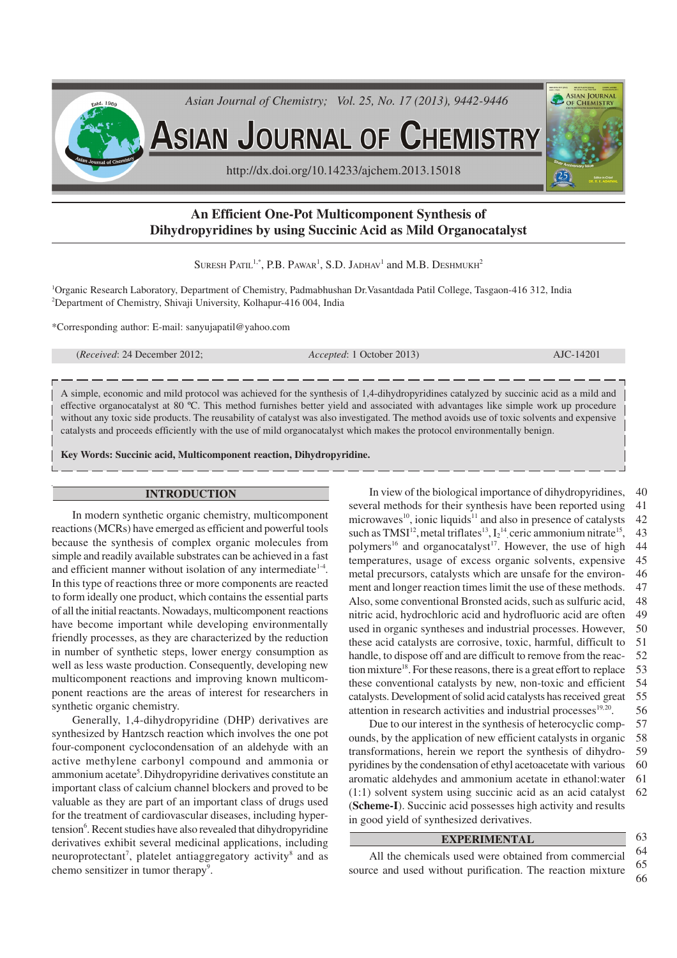

# **An Efficient One-Pot Multicomponent Synthesis of Dihydropyridines by using Succinic Acid as Mild Organocatalyst**

SURESH  $\mathrm{PartL}^{1,*}, \mathrm{P.B.} \ \mathrm{Pawar}^{1}, \mathrm{S.D.} \ \mathrm{JADHAV}^{1}$  and  $\mathrm{M.B.} \ \mathrm{D}{\mathrm{ESHMUKH}^{2}}$ 

<sup>1</sup>Organic Research Laboratory, Department of Chemistry, Padmabhushan Dr.Vasantdada Patil College, Tasgaon-416 312, India <sup>2</sup>Department of Chemistry, Shivaji University, Kolhapur-416 004, India

\*Corresponding author: E-mail: sanyujapatil@yahoo.com

(*Received*: 24 December 2012; *Accepted*: 1 October 2013) AJC-14201

A simple, economic and mild protocol was achieved for the synthesis of 1,4-dihydropyridines catalyzed by succinic acid as a mild and effective organocatalyst at 80 ºC. This method furnishes better yield and associated with advantages like simple work up procedure without any toxic side products. The reusability of catalyst was also investigated. The method avoids use of toxic solvents and expensive catalysts and proceeds efficiently with the use of mild organocatalyst which makes the protocol environmentally benign.

**Key Words: Succinic acid, Multicomponent reaction, Dihydropyridine.**

## **INTRODUCTION**

In modern synthetic organic chemistry, multicomponent reactions (MCRs) have emerged as efficient and powerful tools because the synthesis of complex organic molecules from simple and readily available substrates can be achieved in a fast and efficient manner without isolation of any intermediate<sup>1-4</sup>. In this type of reactions three or more components are reacted to form ideally one product, which contains the essential parts of all the initial reactants. Nowadays, multicomponent reactions have become important while developing environmentally friendly processes, as they are characterized by the reduction in number of synthetic steps, lower energy consumption as well as less waste production. Consequently, developing new multicomponent reactions and improving known multicomponent reactions are the areas of interest for researchers in synthetic organic chemistry.

Generally, 1,4-dihydropyridine (DHP) derivatives are synthesized by Hantzsch reaction which involves the one pot four-component cyclocondensation of an aldehyde with an active methylene carbonyl compound and ammonia or ammonium acetate<sup>5</sup>. Dihydropyridine derivatives constitute an important class of calcium channel blockers and proved to be valuable as they are part of an important class of drugs used for the treatment of cardiovascular diseases, including hypertension<sup>6</sup>. Recent studies have also revealed that dihydropyridine derivatives exhibit several medicinal applications, including neuroprotectant<sup>7</sup>, platelet antiaggregatory activity<sup>8</sup> and as chemo sensitizer in tumor therapy<sup>9</sup>.

In view of the biological importance of dihydropyridines, several methods for their synthesis have been reported using microwaves<sup>10</sup>, ionic liquids<sup>11</sup> and also in presence of catalysts such as TMSI<sup>12</sup>, metal triflates<sup>13</sup>,  $I_2$ <sup>14</sup>, ceric ammonium nitrate<sup>15</sup>, polymers<sup>16</sup> and organocatalyst<sup>17</sup>. However, the use of high temperatures, usage of excess organic solvents, expensive metal precursors, catalysts which are unsafe for the environment and longer reaction times limit the use of these methods. Also, some conventional Bronsted acids, such as sulfuric acid, nitric acid, hydrochloric acid and hydrofluoric acid are often used in organic syntheses and industrial processes. However, these acid catalysts are corrosive, toxic, harmful, difficult to handle, to dispose off and are difficult to remove from the reaction mixture <sup>18</sup>. For these reasons, there is a great effort to replace these conventional catalysts by new, non-toxic and efficient catalysts. Development of solid acid catalysts has received great attention in research activities and industrial processes<sup>19,20</sup>. 40 41 42 43 44 45 46 47 48 49 50 51 52 53 54 55 56

Due to our interest in the synthesis of heterocyclic compounds, by the application of new efficient catalysts in organic transformations, herein we report the synthesis of dihydropyridines by the condensation of ethyl acetoacetate with various aromatic aldehydes and ammonium acetate in ethanol:water (1:1) solvent system using succinic acid as an acid catalyst (**Scheme-I**). Succinic acid possesses high activity and results in good yield of synthesized derivatives. 57 58 59 60 61 62

## **EXPERIMENTAL**

All the chemicals used were obtained from commercial source and used without purification. The reaction mixture 64 66

65

63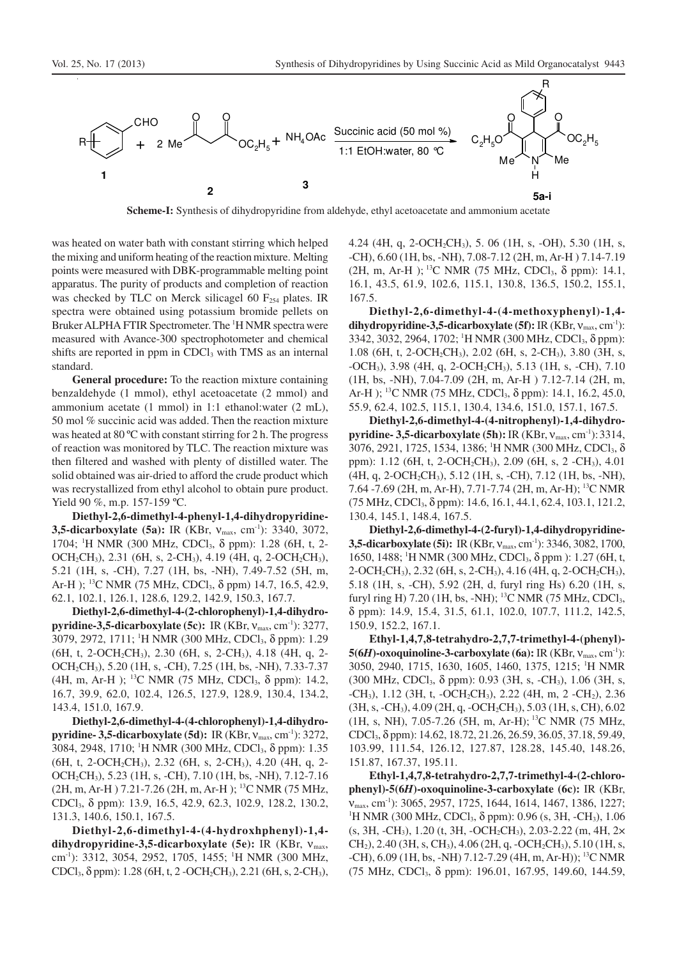

**Scheme-I:** Synthesis of dihydropyridine from aldehyde, ethyl acetoacetate and ammonium acetate

was heated on water bath with constant stirring which helped the mixing and uniform heating of the reaction mixture. Melting points were measured with DBK-programmable melting point apparatus. The purity of products and completion of reaction was checked by TLC on Merck silicagel 60  $F<sub>254</sub>$  plates. IR spectra were obtained using potassium bromide pellets on Bruker ALPHA FTIR Spectrometer. The <sup>1</sup>H NMR spectra were measured with Avance-300 spectrophotometer and chemical shifts are reported in ppm in CDCl<sub>3</sub> with TMS as an internal standard.

**General procedure:** To the reaction mixture containing benzaldehyde (1 mmol), ethyl acetoacetate (2 mmol) and ammonium acetate (1 mmol) in 1:1 ethanol:water (2 mL), 50 mol % succinic acid was added. Then the reaction mixture was heated at 80 ºC with constant stirring for 2 h. The progress of reaction was monitored by TLC. The reaction mixture was then filtered and washed with plenty of distilled water. The solid obtained was air-dried to afford the crude product which was recrystallized from ethyl alcohol to obtain pure product. Yield 90 %, m.p. 157-159 °C.

**Diethyl-2,6-dimethyl-4-phenyl-1,4-dihydropyridine-3,5-dicarboxylate (5a):** IR (KBr,  $v_{\text{max}}$ , cm<sup>-1</sup>): 3340, 3072, 1704; <sup>1</sup>H NMR (300 MHz, CDCl<sub>3</sub>, δ ppm): 1.28 (6H, t, 2-OCH<sub>2</sub>CH<sub>3</sub>), 2.31 (6H, s, 2-CH<sub>3</sub>), 4.19 (4H, q, 2-OCH<sub>2</sub>CH<sub>3</sub>), 5.21 (1H, s, -CH), 7.27 (1H, bs, -NH), 7.49-7.52 (5H, m, Ar-H ); <sup>13</sup>C NMR (75 MHz, CDCl<sub>3</sub>, δ ppm) 14.7, 16.5, 42.9, 62.1, 102.1, 126.1, 128.6, 129.2, 142.9, 150.3, 167.7.

**Diethyl-2,6-dimethyl-4-(2-chlorophenyl)-1,4-dihydropyridine-3,5-dicarboxylate (5c):** IR (KBr,  $V_{\text{max}}$ , cm<sup>-1</sup>): 3277, 3079, 2972, 1711; <sup>1</sup>H NMR (300 MHz, CDCl3, δ ppm): 1.29  $(6H, t, 2-OCH<sub>2</sub>CH<sub>3</sub>), 2.30 (6H, s, 2-CH<sub>3</sub>), 4.18 (4H, q, 2-$ OCH2CH3), 5.20 (1H, s, -CH), 7.25 (1H, bs, -NH), 7.33-7.37 (4H, m, Ar-H); <sup>13</sup>C NMR (75 MHz, CDCl<sub>3</sub>, δ ppm): 14.2, 16.7, 39.9, 62.0, 102.4, 126.5, 127.9, 128.9, 130.4, 134.2, 143.4, 151.0, 167.9.

**Diethyl-2,6-dimethyl-4-(4-chlorophenyl)-1,4-dihydropyridine- 3,5-dicarboxylate (5d):** IR (KBr,  $v_{\text{max}}$ , cm<sup>-1</sup>): 3272, 3084, 2948, 1710; <sup>1</sup>H NMR (300 MHz, CDCl3, δ ppm): 1.35 (6H, t, 2-OCH2CH3), 2.32 (6H, s, 2-CH3), 4.20 (4H, q, 2- OCH2CH3), 5.23 (1H, s, -CH), 7.10 (1H, bs, -NH), 7.12-7.16 (2H, m, Ar-H ) 7.21-7.26 (2H, m, Ar-H ); <sup>13</sup>C NMR (75 MHz, CDCl3, δ ppm): 13.9, 16.5, 42.9, 62.3, 102.9, 128.2, 130.2, 131.3, 140.6, 150.1, 167.5.

**Diethyl-2,6-dimethyl-4-(4-hydroxhphenyl)-1,4 dihydropyridine-3,5-dicarboxylate (5e):** IR (KBr, νmax, cm-1): 3312, 3054, 2952, 1705, 1455; <sup>1</sup>H NMR (300 MHz, CDCl<sub>3</sub>,  $\delta$  ppm): 1.28 (6H, t, 2 -OCH<sub>2</sub>CH<sub>3</sub>), 2.21 (6H, s, 2-CH<sub>3</sub>), 4.24 (4H, q, 2-OCH2CH3), 5. 06 (1H, s, -OH), 5.30 (1H, s, -CH), 6.60 (1H, bs, -NH), 7.08-7.12 (2H, m, Ar-H ) 7.14-7.19 (2H, m, Ar-H );<sup>13</sup>C NMR (75 MHz, CDCl<sub>3</sub>,  $\delta$  ppm): 14.1, 16.1, 43.5, 61.9, 102.6, 115.1, 130.8, 136.5, 150.2, 155.1, 167.5.

**Diethyl-2,6-dimethyl-4-(4-methoxyphenyl)-1,4 dihydropyridine-3,5-dicarboxylate (5f):** IR (KBr,  $V_{\text{max}}$ , cm<sup>-1</sup>): 3342, 3032, 2964, 1702; <sup>1</sup>H NMR (300 MHz, CDCl<sub>3</sub>, δ ppm): 1.08 (6H, t, 2-OCH2CH3), 2.02 (6H, s, 2-CH3), 3.80 (3H, s, -OCH<sub>3</sub>), 3.98 (4H, q, 2-OCH<sub>2</sub>CH<sub>3</sub>), 5.13 (1H, s, -CH), 7.10 (1H, bs, -NH), 7.04-7.09 (2H, m, Ar-H ) 7.12-7.14 (2H, m, Ar-H); <sup>13</sup>C NMR (75 MHz, CDCl<sub>3</sub>, δ ppm): 14.1, 16.2, 45.0, 55.9, 62.4, 102.5, 115.1, 130.4, 134.6, 151.0, 157.1, 167.5.

**Diethyl-2,6-dimethyl-4-(4-nitrophenyl)-1,4-dihydropyridine- 3,5-dicarboxylate (5h):** IR (KBr,  $v_{\text{max}}$ , cm<sup>-1</sup>): 3314, 3076, 2921, 1725, 1534, 1386; <sup>1</sup>H NMR (300 MHz, CDCl<sub>3</sub>, δ ppm): 1.12 (6H, t, 2-OCH<sub>2</sub>CH<sub>3</sub>), 2.09 (6H, s, 2 -CH<sub>3</sub>), 4.01 (4H, q, 2-OCH2CH3), 5.12 (1H, s, -CH), 7.12 (1H, bs, -NH), 7.64 -7.69 (2H, m, Ar-H), 7.71-7.74 (2H, m, Ar-H); <sup>13</sup>C NMR (75 MHz, CDCl3, δ ppm): 14.6, 16.1, 44.1, 62.4, 103.1, 121.2, 130.4, 145.1, 148.4, 167.5.

**Diethyl-2,6-dimethyl-4-(2-furyl)-1,4-dihydropyridine-3,5-dicarboxylate** (5i): IR (KBr,  $v_{\text{max}}$ , cm<sup>-1</sup>): 3346, 3082, 1700, 1650, 1488; <sup>1</sup>H NMR (300 MHz, CDCl<sub>3</sub>, δ ppm): 1.27 (6H, t,  $2$ -OCH<sub>2</sub>CH<sub>3</sub>), 2.32 (6H, s, 2-CH<sub>3</sub>), 4.16 (4H, q, 2-OCH<sub>2</sub>CH<sub>3</sub>), 5.18 (1H, s, -CH), 5.92 (2H, d, furyl ring Hs) 6.20 (1H, s, furyl ring H) 7.20 (1H, bs, -NH); <sup>13</sup>C NMR (75 MHz, CDCl<sub>3</sub>, δ ppm): 14.9, 15.4, 31.5, 61.1, 102.0, 107.7, 111.2, 142.5, 150.9, 152.2, 167.1.

**Ethyl-1,4,7,8-tetrahydro-2,7,7-trimethyl-4-(phenyl)- 5(6***H***)-oxoquinoline-3-carboxylate (6a):** IR (KBr, ν<sub>max</sub>, cm<sup>-1</sup>): 3050, 2940, 1715, 1630, 1605, 1460, 1375, 1215; <sup>1</sup>H NMR (300 MHz, CDCl3, δ ppm): 0.93 (3H, s, -CH3), 1.06 (3H, s, -CH<sub>3</sub>), 1.12 (3H, t, -OCH<sub>2</sub>CH<sub>3</sub>), 2.22 (4H, m, 2 -CH<sub>2</sub>), 2.36 (3H, s, -CH3), 4.09 (2H, q, -OCH2CH3), 5.03 (1H, s, CH), 6.02 (1H, s, NH), 7.05-7.26 (5H, m, Ar-H);<sup>13</sup>C NMR (75 MHz, CDCl3, δ ppm): 14.62, 18.72, 21.26, 26.59, 36.05, 37.18, 59.49, 103.99, 111.54, 126.12, 127.87, 128.28, 145.40, 148.26, 151.87, 167.37, 195.11.

**Ethyl-1,4,7,8-tetrahydro-2,7,7-trimethyl-4-(2-chlorophenyl)-5(6***H***)-oxoquinoline-3-carboxylate (6c):** IR (KBr, νmax, cm-1): 3065, 2957, 1725, 1644, 1614, 1467, 1386, 1227; <sup>1</sup>H NMR (300 MHz, CDCl<sub>3</sub>, δ ppm): 0.96 (s, 3H, -CH<sub>3</sub>), 1.06 (s, 3H, -CH3), 1.20 (t, 3H, -OCH2CH3), 2.03-2.22 (m, 4H, 2×  $CH<sub>2</sub>$ ), 2.40 (3H, s, CH<sub>3</sub>), 4.06 (2H, q, -OCH<sub>2</sub>CH<sub>3</sub>), 5.10 (1H, s, -CH), 6.09 (1H, bs, -NH) 7.12-7.29 (4H, m, Ar-H)); <sup>13</sup>C NMR (75 MHz, CDCl3, δ ppm): 196.01, 167.95, 149.60, 144.59,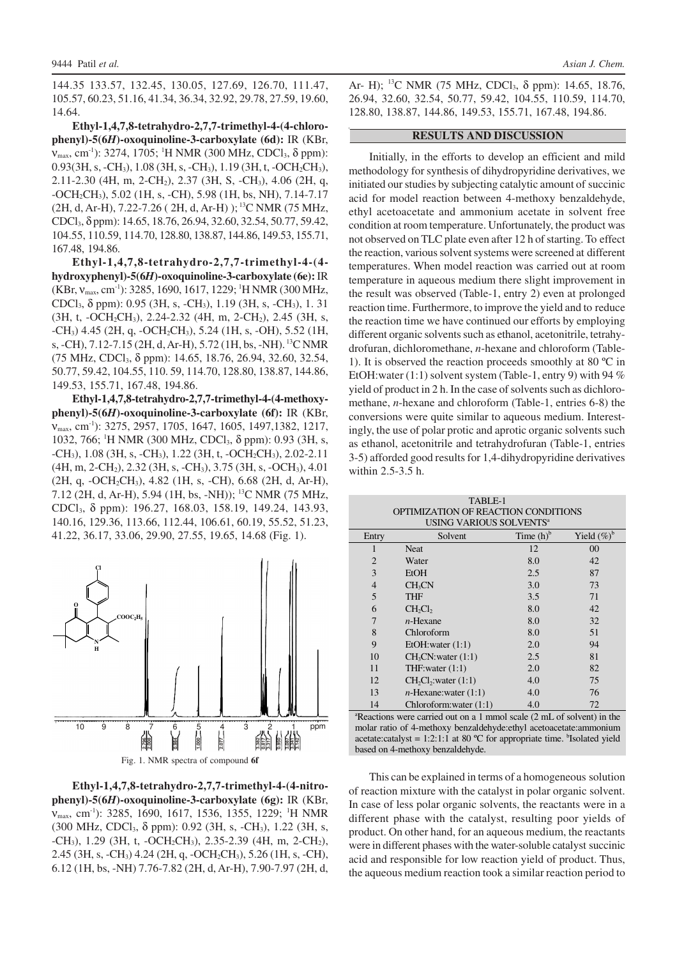144.35 133.57, 132.45, 130.05, 127.69, 126.70, 111.47, 105.57, 60.23, 51.16, 41.34, 36.34, 32.92, 29.78, 27.59, 19.60, 14.64.

**Ethyl-1,4,7,8-tetrahydro-2,7,7-trimethyl-4-(4-chlorophenyl)-5(6***H***)-oxoquinoline-3-carboxylate (6d):** IR (KBr,  $V_{max}$ , cm<sup>-1</sup>): 3274, 1705; <sup>1</sup>H NMR (300 MHz, CDCl<sub>3</sub>, δ ppm): 0.93(3H, s, -CH<sub>3</sub>), 1.08 (3H, s, -CH<sub>3</sub>), 1.19 (3H, t, -OCH<sub>2</sub>CH<sub>3</sub>), 2.11-2.30 (4H, m, 2-CH2), 2.37 (3H, S, -CH3), 4.06 (2H, q, -OCH2CH3), 5.02 (1H, s, -CH), 5.98 (1H, bs, NH), 7.14-7.17  $(2H, d, Ar-H), 7.22-7.26$  (  $2H, d, Ar-H$ ) );<sup>13</sup>C NMR (75 MHz, CDCl3, δ ppm): 14.65, 18.76, 26.94, 32.60, 32.54, 50.77, 59.42, 104.55, 110.59, 114.70, 128.80, 138.87, 144.86, 149.53, 155.71, 167.48, 194.86.

**Ethyl-1,4,7,8-tetrahydro-2,7,7-trimethyl-4-(4 hydroxyphenyl)-5(6***H***)-oxoquinoline-3-carboxylate (6e):** IR  $(KBr, v_{max}, cm^{-1})$ : 3285, 1690, 1617, 1229; <sup>1</sup>H NMR (300 MHz, CDCl3, δ ppm): 0.95 (3H, s, -CH3), 1.19 (3H, s, -CH3), 1. 31 (3H, t, -OCH<sub>2</sub>CH<sub>3</sub>), 2.24-2.32 (4H, m, 2-CH<sub>2</sub>), 2.45 (3H, s, -CH3) 4.45 (2H, q, -OCH2CH3), 5.24 (1H, s, -OH), 5.52 (1H, s, -CH), 7.12-7.15 (2H, d, Ar-H), 5.72 (1H, bs, -NH).<sup>13</sup>C NMR (75 MHz, CDCl3, δ ppm): 14.65, 18.76, 26.94, 32.60, 32.54, 50.77, 59.42, 104.55, 110. 59, 114.70, 128.80, 138.87, 144.86, 149.53, 155.71, 167.48, 194.86.

**Ethyl-1,4,7,8-tetrahydro-2,7,7-trimethyl-4-(4-methoxyphenyl)-5(6***H***)-oxoquinoline-3-carboxylate (6f):** IR (KBr, νmax, cm-1): 3275, 2957, 1705, 1647, 1605, 1497,1382, 1217, 1032, 766; <sup>1</sup>H NMR (300 MHz, CDCl3, δ ppm): 0.93 (3H, s,  $-CH_3$ ), 1.08 (3H, s,  $-CH_3$ ), 1.22 (3H, t,  $-OCH_2CH_3$ ), 2.02-2.11 (4H, m, 2-CH2), 2.32 (3H, s, -CH3), 3.75 (3H, s, -OCH3), 4.01 (2H, q, -OCH2CH3), 4.82 (1H, s, -CH), 6.68 (2H, d, Ar-H), 7.12 (2H, d, Ar-H), 5.94 (1H, bs, -NH)); <sup>13</sup>C NMR (75 MHz, CDCl3, δ ppm): 196.27, 168.03, 158.19, 149.24, 143.93, 140.16, 129.36, 113.66, 112.44, 106.61, 60.19, 55.52, 51.23, 41.22, 36.17, 33.06, 29.90, 27.55, 19.65, 14.68 (Fig. 1).





**Ethyl-1,4,7,8-tetrahydro-2,7,7-trimethyl-4-(4-nitrophenyl)-5(6***H***)-oxoquinoline-3-carboxylate (6g):** IR (KBr, ν<sub>max</sub>, cm<sup>-1</sup>): 3285, 1690, 1617, 1536, 1355, 1229; <sup>1</sup>H NMR (300 MHz, CDCl3, δ ppm): 0.92 (3H, s, -CH3), 1.22 (3H, s, -CH3), 1.29 (3H, t, -OCH2CH3), 2.35-2.39 (4H, m, 2-CH2), 2.45 (3H, s, -CH3) 4.24 (2H, q, -OCH2CH3), 5.26 (1H, s, -CH), 6.12 (1H, bs, -NH) 7.76-7.82 (2H, d, Ar-H), 7.90-7.97 (2H, d,

Ar- H); <sup>13</sup>C NMR (75 MHz, CDCl<sub>3</sub>, δ ppm): 14.65, 18.76, 26.94, 32.60, 32.54, 50.77, 59.42, 104.55, 110.59, 114.70, 128.80, 138.87, 144.86, 149.53, 155.71, 167.48, 194.86.

#### **RESULTS AND DISCUSSION**

Initially, in the efforts to develop an efficient and mild methodology for synthesis of dihydropyridine derivatives, we initiated our studies by subjecting catalytic amount of succinic acid for model reaction between 4-methoxy benzaldehyde, ethyl acetoacetate and ammonium acetate in solvent free condition at room temperature. Unfortunately, the product was not observed on TLC plate even after 12 h of starting. To effect the reaction, various solvent systems were screened at different temperatures. When model reaction was carried out at room temperature in aqueous medium there slight improvement in the result was observed (Table-1, entry 2) even at prolonged reaction time. Furthermore, to improve the yield and to reduce the reaction time we have continued our efforts by employing different organic solvents such as ethanol, acetonitrile, tetrahydrofuran, dichloromethane, *n*-hexane and chloroform (Table-1). It is observed the reaction proceeds smoothly at 80 ºC in EtOH:water (1:1) solvent system (Table-1, entry 9) with 94 % yield of product in 2 h. In the case of solvents such as dichloromethane, *n*-hexane and chloroform (Table-1, entries 6-8) the conversions were quite similar to aqueous medium. Interestingly, the use of polar protic and aprotic organic solvents such as ethanol, acetonitrile and tetrahydrofuran (Table-1, entries 3-5) afforded good results for 1,4-dihydropyridine derivatives within 2.5-3.5 h.

| TABLE-1<br>OPTIMIZATION OF REACTION CONDITIONS<br>USING VARIOUS SOLVENTS <sup>a</sup> |                                |              |                |  |  |
|---------------------------------------------------------------------------------------|--------------------------------|--------------|----------------|--|--|
| Entry                                                                                 | Solvent                        | Time $(h)^b$ | Yield $(\%)^b$ |  |  |
| $\mathbf{1}$                                                                          | <b>Neat</b>                    | 12           | 00             |  |  |
| $\overline{2}$                                                                        | Water                          | 8.0          | 42             |  |  |
| 3                                                                                     | EtOH                           | 2.5          | 87             |  |  |
| $\overline{4}$                                                                        | CH <sub>3</sub> CN             | 3.0          | 73             |  |  |
| 5                                                                                     | THF                            | 3.5          | 71             |  |  |
| 6                                                                                     | $CH_2Cl_2$                     | 8.0          | 42             |  |  |
| 7                                                                                     | $n$ -Hexane                    | 8.0          | 32             |  |  |
| 8                                                                                     | Chloroform                     | 8.0          | 51             |  |  |
| 9                                                                                     | EtOH: water (1:1)              | 2.0          | 94             |  |  |
| 10                                                                                    | CH <sub>3</sub> CN:water (1:1) | 2.5          | 81             |  |  |
| 11                                                                                    | THF: water $(1:1)$             | 2.0          | 82             |  |  |
| 12                                                                                    | $CH_2Cl_2$ : water $(1:1)$     | 4.0          | 75             |  |  |
| 13                                                                                    | $n$ -Hexane: water $(1:1)$     | 4.0          | 76             |  |  |
| 14                                                                                    | Chloroform: water $(1:1)$      | 4.0          | 72             |  |  |

<sup>a</sup>Reactions were carried out on a 1 mmol scale (2 mL of solvent) in the molar ratio of 4-methoxy benzaldehyde:ethyl acetoacetate:ammonium acetate: catalyst = 1:2:1:1 at 80  $^{\circ}$ C for appropriate time. <sup>b</sup>Isolated yield based on 4-methoxy benzaldehyde.

This can be explained in terms of a homogeneous solution of reaction mixture with the catalyst in polar organic solvent. In case of less polar organic solvents, the reactants were in a different phase with the catalyst, resulting poor yields of product. On other hand, for an aqueous medium, the reactants were in different phases with the water-soluble catalyst succinic acid and responsible for low reaction yield of product. Thus, the aqueous medium reaction took a similar reaction period to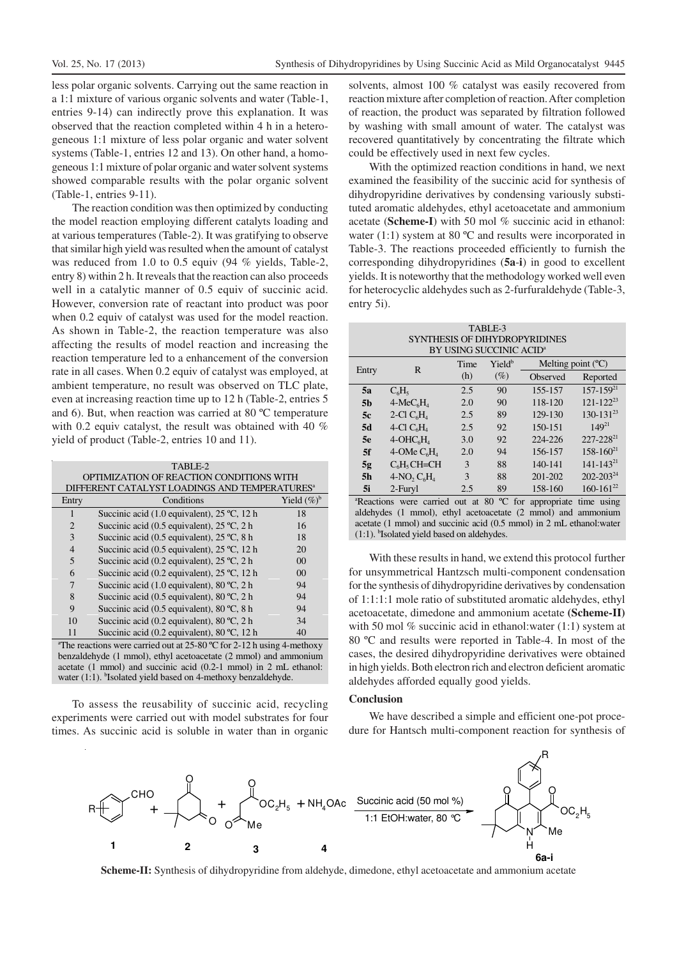less polar organic solvents. Carrying out the same reaction in a 1:1 mixture of various organic solvents and water (Table-1, entries 9-14) can indirectly prove this explanation. It was observed that the reaction completed within 4 h in a heterogeneous 1:1 mixture of less polar organic and water solvent systems (Table-1, entries 12 and 13). On other hand, a homogeneous 1:1 mixture of polar organic and water solvent systems showed comparable results with the polar organic solvent (Table-1, entries 9-11).

The reaction condition was then optimized by conducting the model reaction employing different catalyts loading and at various temperatures (Table-2). It was gratifying to observe that similar high yield was resulted when the amount of catalyst was reduced from 1.0 to 0.5 equiv (94 % yields, Table-2, entry 8) within 2 h. It reveals that the reaction can also proceeds well in a catalytic manner of 0.5 equiv of succinic acid. However, conversion rate of reactant into product was poor when 0.2 equiv of catalyst was used for the model reaction. As shown in Table-2, the reaction temperature was also affecting the results of model reaction and increasing the reaction temperature led to a enhancement of the conversion rate in all cases. When 0.2 equiv of catalyst was employed, at ambient temperature, no result was observed on TLC plate, even at increasing reaction time up to 12 h (Table-2, entries 5 and 6). But, when reaction was carried at 80 ºC temperature with 0.2 equiv catalyst, the result was obtained with 40 % yield of product (Table-2, entries 10 and 11).

| TABLE-2                                                                            |                                                        |                |  |  |
|------------------------------------------------------------------------------------|--------------------------------------------------------|----------------|--|--|
| OPTIMIZATION OF REACTION CONDITIONS WITH                                           |                                                        |                |  |  |
| DIFFERENT CATALYST LOADINGS AND TEMPERATURES <sup>a</sup>                          |                                                        |                |  |  |
| Entry                                                                              | Conditions                                             | Yield $(\%)^b$ |  |  |
| 1                                                                                  | Succinic acid $(1.0 \text{ equivalent})$ , 25 °C, 12 h | 18             |  |  |
| $\overline{2}$                                                                     | Succinic acid (0.5 equivalent), 25 °C, 2 h             | 16             |  |  |
| 3                                                                                  | Succinic acid (0.5 equivalent), 25 °C, 8 h             | 18             |  |  |
| $\overline{4}$                                                                     | Succinic acid (0.5 equivalent), 25 °C, 12 h            | 20             |  |  |
| 5                                                                                  | Succinic acid (0.2 equivalent), $25^{\circ}$ C, 2 h    | 00             |  |  |
| 6                                                                                  | Succinic acid (0.2 equivalent), 25 °C, 12 h            | 00             |  |  |
| 7                                                                                  | Succinic acid (1.0 equivalent), 80 °C, 2 h             | 94             |  |  |
| 8                                                                                  | Succinic acid (0.5 equivalent), 80 °C, 2 h             | 94             |  |  |
| 9                                                                                  | Succinic acid (0.5 equivalent), 80 °C, 8 h             | 94             |  |  |
| 10                                                                                 | Succinic acid (0.2 equivalent), 80 $^{\circ}$ C, 2 h   | 34             |  |  |
| 11                                                                                 | Succinic acid (0.2 equivalent), 80 °C, 12 h            | 40             |  |  |
| <sup>a</sup> The reactions were carried out at 25-80 °C for 2-12 h using 4-methoxy |                                                        |                |  |  |
| benzaldehyde (1 mmol), ethyl acetoacetate (2 mmol) and ammonium                    |                                                        |                |  |  |

acetate (1 mmol) and succinic acid (0.2-1 mmol) in 2 mL ethanol: water (1:1). <sup>b</sup>Isolated yield based on 4-methoxy benzaldehyde.

To assess the reusability of succinic acid, recycling experiments were carried out with model substrates for four times. As succinic acid is soluble in water than in organic

solvents, almost 100 % catalyst was easily recovered from reaction mixture after completion of reaction. After completion of reaction, the product was separated by filtration followed by washing with small amount of water. The catalyst was recovered quantitatively by concentrating the filtrate which could be effectively used in next few cycles.

With the optimized reaction conditions in hand, we next examined the feasibility of the succinic acid for synthesis of dihydropyridine derivatives by condensing variously substituted aromatic aldehydes, ethyl acetoacetate and ammonium acetate (**Scheme-I**) with 50 mol % succinic acid in ethanol: water  $(1:1)$  system at 80 °C and results were incorporated in Table-3. The reactions proceeded efficiently to furnish the corresponding dihydropyridines (**5a**-**i**) in good to excellent yields. It is noteworthy that the methodology worked well even for heterocyclic aldehydes such as 2-furfuraldehyde (Table-3, entry 5i).

| TABLE-3                                                                     |                |      |                              |                     |                  |
|-----------------------------------------------------------------------------|----------------|------|------------------------------|---------------------|------------------|
| SYNTHESIS OF DIHYDROPYRIDINES                                               |                |      |                              |                     |                  |
| BY USING SUCCINIC ACID <sup>a</sup>                                         |                |      |                              |                     |                  |
| Entry                                                                       | R              | Time | Yield <sup>b</sup><br>$(\%)$ | Melting point $(C)$ |                  |
|                                                                             |                | (h)  |                              | Observed            | Reported         |
| <b>5a</b>                                                                   | $C_6H_5$       | 2.5  | 90                           | 155-157             | $157 - 159^{21}$ |
| 5 <sub>b</sub>                                                              | $4-MeC6H4$     | 2.0  | 90                           | 118-120             | $121 - 122^{23}$ |
| 5c                                                                          | 2-Cl $C_6H_4$  | 2.5  | 89                           | 129-130             | $130 - 131^{23}$ |
| 5d                                                                          | 4-Cl $C_6H_4$  | 2.5  | 92                           | 150-151             | $149^{21}$       |
| 5e                                                                          | $4-OHC6H4$     | 3.0  | 92                           | 224-226             | $227 - 228^{21}$ |
| 5f                                                                          | 4-OMe $C_6H_4$ | 2.0  | 94                           | 156-157             | $158 - 160^{21}$ |
| 5g                                                                          | $C_6H_5CH=CH$  | 3    | 88                           | 140-141             | $141 - 143^{21}$ |
| 5 <sub>h</sub>                                                              | $4-NO, C6H4$   | 3    | 88                           | $201 - 202$         | $202 - 203^{24}$ |
| 5i                                                                          | 2-Furyl        | 2.5  | 89                           | 158-160             | $160 - 161^{22}$ |
| <sup>a</sup> Reactions were carried out at 80 °C for appropriate time using |                |      |                              |                     |                  |
| aldehydes (1 mmol), ethyl acetoacetate (2 mmol) and ammonium                |                |      |                              |                     |                  |
| acetate (1 mmol) and succinic acid (0.5 mmol) in 2 mL ethanol: water        |                |      |                              |                     |                  |
| $(1:1)$ . <sup>b</sup> Isolated yield based on aldehydes.                   |                |      |                              |                     |                  |

With these results in hand, we extend this protocol further for unsymmetrical Hantzsch multi-component condensation for the synthesis of dihydropyridine derivatives by condensation of 1:1:1:1 mole ratio of substituted aromatic aldehydes, ethyl acetoacetate, dimedone and ammonium acetate **(Scheme-II)** with 50 mol % succinic acid in ethanol:water (1:1) system at 80 ºC and results were reported in Table-4. In most of the cases, the desired dihydropyridine derivatives were obtained in high yields. Both electron rich and electron deficient aromatic aldehydes afforded equally good yields.

## **Conclusion**

We have described a simple and efficient one-pot procedure for Hantsch multi-component reaction for synthesis of



**Scheme-II:** Synthesis of dihydropyridine from aldehyde, dimedone, ethyl acetoacetate and ammonium acetate